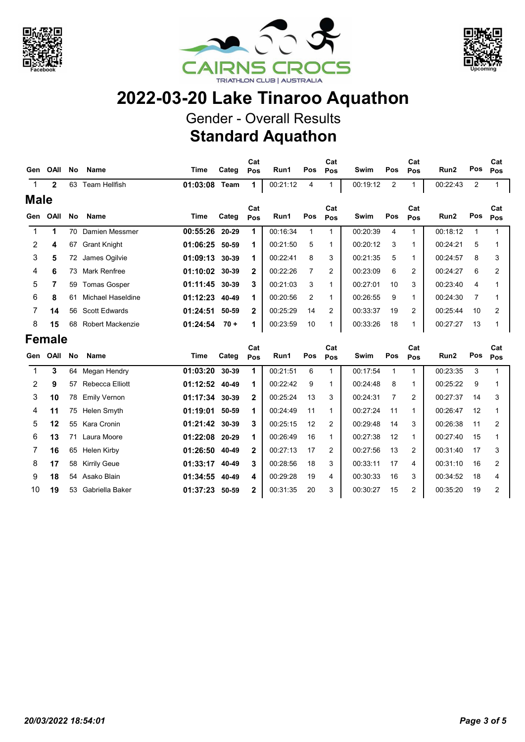





## 2022-03-20 Lake Tinaroo Aquathon

Gender - Overall Results Standard Aquathon

| Gen            | OAII         | <b>No</b> | <b>Name</b>          | Time           | Categ  | Cat<br>Pos   | Run1     | Pos            | Cat<br>Pos | Swim     | Pos            | Cat<br>Pos     | Run2     | Pos | Cat<br>Pos |  |  |  |  |  |  |  |  |
|----------------|--------------|-----------|----------------------|----------------|--------|--------------|----------|----------------|------------|----------|----------------|----------------|----------|-----|------------|--|--|--|--|--|--|--|--|
| $\mathbf 1$    | $\mathbf{2}$ | 63        | Team Hellfish        | 01:03:08       | Team   | 1            | 00:21:12 | 4              |            | 00:19:12 | $\overline{2}$ |                | 00:22:43 | 2   |            |  |  |  |  |  |  |  |  |
| <b>Male</b>    |              |           |                      |                |        |              |          |                |            |          |                |                |          |     |            |  |  |  |  |  |  |  |  |
| Gen            | OAII         | No.       | <b>Name</b>          | Time           | Categ  | Cat<br>Pos   | Run1     | Pos            | Cat<br>Pos | Swim     | Pos            | Cat<br>Pos     | Run2     | Pos | Cat<br>Pos |  |  |  |  |  |  |  |  |
|                | 1            | 70        | Damien Messmer       | 00:55:26       | 20-29  | 1            | 00:16:34 |                |            | 00:20:39 | 4              | 1              | 00:18:12 |     |            |  |  |  |  |  |  |  |  |
| $\overline{2}$ | 4            | 67        | <b>Grant Knight</b>  | 01:06:25 50-59 |        | 1            | 00:21:50 | 5              | 1          | 00:20:12 | 3              | 1              | 00:24:21 | 5   |            |  |  |  |  |  |  |  |  |
| 3              | 5            | 72        | James Ogilvie        | 01:09:13 30-39 |        | 1            | 00:22:41 | 8              | 3          | 00:21:35 | 5              | 1              | 00:24:57 | 8   | 3          |  |  |  |  |  |  |  |  |
| 4              | 6            | 73        | Mark Renfree         | 01:10:02 30-39 |        | $\mathbf{2}$ | 00:22:26 | $\overline{7}$ | 2          | 00:23:09 | 6              | $\overline{c}$ | 00:24:27 | 6   | 2          |  |  |  |  |  |  |  |  |
| 5              | 7            | 59        | <b>Tomas Gosper</b>  | 01:11:45 30-39 |        | 3            | 00:21:03 | 3              | 1          | 00:27:01 | 10             | 3              | 00:23:40 | 4   |            |  |  |  |  |  |  |  |  |
| 6              | 8            | 61        | Michael Haseldine    | 01:12:23 40-49 |        | 1            | 00:20:56 | 2              | 1          | 00:26:55 | 9              | 1              | 00:24:30 | 7   |            |  |  |  |  |  |  |  |  |
|                | 14           | 56        | <b>Scott Edwards</b> | 01:24:51       | 50-59  | $\mathbf{2}$ | 00:25:29 | 14             | 2          | 00:33:37 | 19             | 2              | 00:25:44 | 10  | 2          |  |  |  |  |  |  |  |  |
| 8              | 15           | 68        | Robert Mackenzie     | 01:24:54       | $70 +$ | $\mathbf 1$  | 00:23:59 | 10             |            | 00:33:26 | 18             | 1              | 00:27:27 | 13  |            |  |  |  |  |  |  |  |  |
|                |              |           |                      |                |        |              |          |                |            |          | <b>Female</b>  |                |          |     |            |  |  |  |  |  |  |  |  |

| Gen | OAII | <b>No</b> | <b>Name</b>         | Time             | Categ | Cat<br>Pos   | Run1     | Pos | Cat<br>Pos | Swim     | Pos | Cat<br>Pos | Run2     | Pos | Cat<br><b>Pos</b> |
|-----|------|-----------|---------------------|------------------|-------|--------------|----------|-----|------------|----------|-----|------------|----------|-----|-------------------|
|     | 3    | 64        | Megan Hendry        | 01:03:20         | 30-39 |              | 00:21:51 | 6   |            | 00:17:54 |     |            | 00:23:35 | 3   |                   |
| 2   | 9    | 57        | Rebecca Elliott     | 01:12:52 40-49   |       | 1            | 00:22:42 | 9   |            | 00:24:48 | 8   |            | 00:25:22 | 9   |                   |
| 3   | 10   | 78        | Emily Vernon        | 01:17:34 30-39   |       | $\mathbf{2}$ | 00:25:24 | 13  | 3          | 00:24:31 | 7   | 2          | 00:27:37 | 14  | 3                 |
| 4   | 11   | 75        | Helen Smyth         | 01:19:01         | 50-59 | 1            | 00:24:49 | 11  |            | 00:27:24 | 11  | 1          | 00:26:47 | 12  |                   |
| 5.  | 12   | 55        | Kara Cronin         | $01:21:42$ 30-39 |       | 3            | 00:25:15 | 12  | 2          | 00:29:48 | 14  | 3          | 00:26:38 | 11  | 2                 |
| 6   | 13   | 71        | Laura Moore         | 01:22:08 20-29   |       | 1            | 00:26:49 | 16  |            | 00:27:38 | 12  | 1          | 00:27:40 | 15  |                   |
|     | 16   | 65        | Helen Kirby         | 01:26:50         | 40-49 | $\mathbf{2}$ | 00:27:13 | 17  | 2          | 00:27:56 | 13  | 2          | 00:31:40 | 17  | 3                 |
| 8   | 17   | 58        | <b>Kirrily Geue</b> | 01:33:17         | 40-49 | 3            | 00:28:56 | 18  | 3          | 00:33:11 | 17  | 4          | 00:31:10 | 16  | 2                 |
| 9   | 18   | 54        | Asako Blain         | 01:34:55         | 40-49 | 4            | 00:29:28 | 19  | 4          | 00:30:33 | 16  | 3          | 00:34:52 | 18  | 4                 |
| 10  | 19   | 53        | Gabriella Baker     | 01:37:23         | 50-59 | 2            | 00:31:35 | 20  | 3          | 00:30:27 | 15  | 2          | 00:35:20 | 19  | 2                 |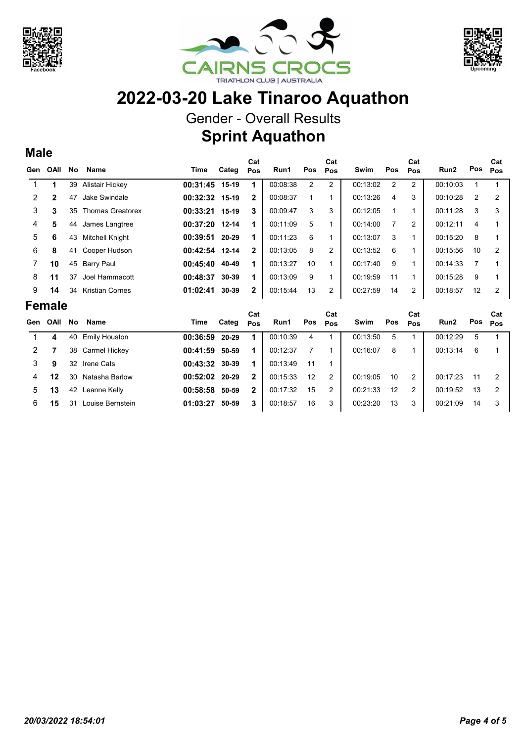

Male





C<sub>at</sub> Pos

Cat Pos

## 2022-03-20 Lake Tinaroo Aquathon

Gender - Overall Results

Sprint Aquathon

## Gen OAII No Name Time Categ Cat OAII No Name **Mannist Communist Categ <sub>Pos</sub> Run1** Pos <sub>Pos</sub> Swim Pos <sub>Pos</sub> Run2 Pos Cat Pos Cat Pos 1 1 39 Alistair Hickey **00:31:45 15-19 1** 00:08:38 2 2 00:13:02 2 2 00:10:03 1 1 2 2 47 Jake Swindale **00:32:32 15-19 2** 00:08:37 1 1 00:13:26 4 3 00:10:28 2 2 3 3 35 Thomas Greatorex **00:33:21 15-19 3** 00:09:47 3 3 00:12:05 1 1 00:11:28 3 3 4 5 44 James Langtree **00:37:20 12-14 1** 00:11:09 5 1 00:14:00 7 2 00:12:11 4 1 5 6 43 Mitchell Knight 00:39:51 1 20-29 00:11:23 6 1 1 00:13:07 00:15:20 8 1 <sup>3</sup> 6 8 41 Cooper Hudson **00:42:54 12-14 2** 00:13:05 8 2 00:13:52 6 1 00:15:56 10 2 7 **10** 45 Barry Paul **00:45:40 40-49 1** 00:13:27 10 1 00:17:40 9 1 00:14:33 7 1 8 11 37 Joel Hammacott 00:48:37 30-39 1 00:13:09 9 1 00:19:59 11 1 00:15:28 9 1 9 **14** 34 Kristian Cornes **01:02:41 30-39 2** 00:15:44 13 2 00:27:59 14 2 00:18:57 12 2 Female Gen OAII No Name Time Categ Cat OAII No Name **Mannist Communist Categ <sub>Pos</sub> Run1** Pos <sub>Pos</sub> Swim Pos <sub>Pos</sub> Run2 Pos Cat Pos Cat Pos 1 **4** 40 Emily Houston **00:36:59 20-29 1** 00:10:39 4 1 00:13:50 5 1 00:12:29 5 1 2 7 38 Carmel Hickey 00:41:59 1 50-59 00:12:37 7 1 1 00:16:07 00:13:14 6 1 <sup>8</sup>

|  | 2 7 38 Carmel Hickey     |  |                                     |  | <b>00:41:59 50-59 1</b> 00:12:37 7 1 00:16:07 8 1                 |  | 00:13:14 6 1 |  |
|--|--------------------------|--|-------------------------------------|--|-------------------------------------------------------------------|--|--------------|--|
|  | 3 9 32 Irene Cats        |  | <b>00:43:32 30-39 1</b> 00:13:49 11 |  |                                                                   |  |              |  |
|  | 4 12 30 Natasha Barlow   |  |                                     |  | <b>00:52:02 20-29 2</b> 00:15:33 12 2 00:19:05 10 2 00:17:23 11 2 |  |              |  |
|  | 5 13 42 Leanne Kelly     |  |                                     |  | <b>00:58:58 50-59 2</b> 00:17:32 15 2 00:21:33 12 2 00:19:52 13 2 |  |              |  |
|  | 6 15 31 Louise Bernstein |  |                                     |  | <b>01:03:27 50-59 3</b> 00:18:57 16 3 00:23:20 13 3 00:21:09 14 3 |  |              |  |